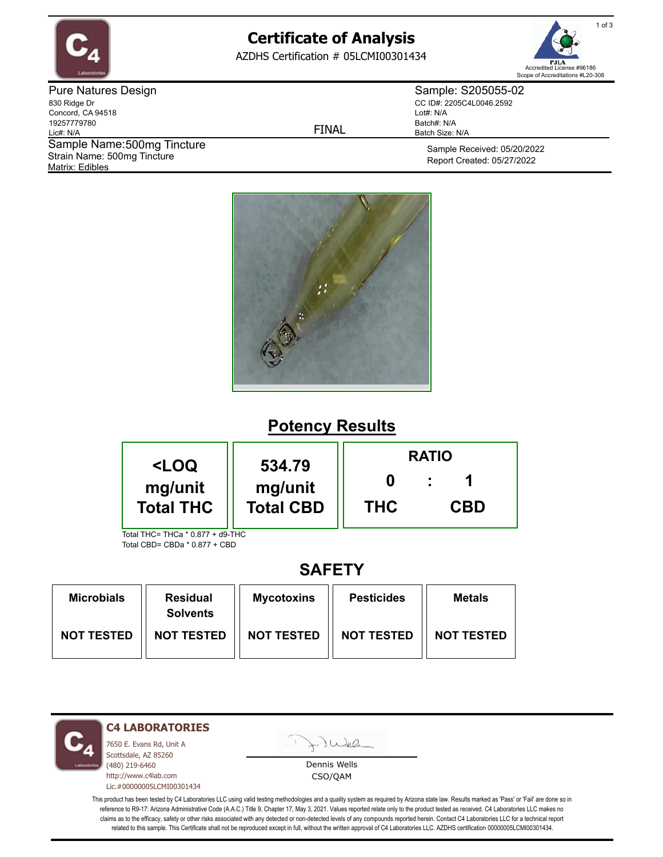

# **Certificate of Analysis**

AZDHS Certification # 05LCMI00301434



Pure Natures Design 830 Ridge Dr Concord, CA 94518 19257779780 Lic#: N/A Matrix: Edibles Sample Name: 500mg Tincture Strain Name: 500mg Tincture

FINAL

Sample: S205055-02 CC ID#: 2205C4L0046.2592 Lot#: N/A Batch#: N/A Batch Size: N/A

> Sample Received: 05/20/2022 Report Created: 05/27/2022



## **Potency Results**

| <loq< th=""><th rowspan="2">534.79<br/>mg/unit</th><th colspan="3"><b>RATIO</b></th></loq<>                                                | 534.79<br>mg/unit | <b>RATIO</b> |            |  |
|--------------------------------------------------------------------------------------------------------------------------------------------|-------------------|--------------|------------|--|
| mg/unit                                                                                                                                    |                   |              |            |  |
| <b>Total THC</b><br>$T_{\text{old}}$ $T_{\text{old}}$ $T_{\text{old}}$ $T_{\text{old}}$ $T_{\text{old}}$ $T_{\text{old}}$ $T_{\text{old}}$ | <b>Total CBD</b>  | <b>THC</b>   | <b>CBD</b> |  |

Total THC= THCa \* 0.877 + d9-THC Total CBD= CBDa \* 0.877 + CBD

## **SAFETY**

| <b>Microbials</b> | <b>Residual</b><br><b>Solvents</b> | <b>Mycotoxins</b> | <b>Pesticides</b> | <b>Metals</b>     |
|-------------------|------------------------------------|-------------------|-------------------|-------------------|
| <b>NOT TESTED</b> | <b>NOT TESTED</b>                  | <b>NOT TESTED</b> | <b>NOT TESTED</b> | <b>NOT TESTED</b> |

**C4 LABORATORIES**

7650 E. Evans Rd, Unit A Scottsdale, AZ 85260 (480) 219-6460 http://www.c4lab.com Lic.#00000005LCMI00301434 Juea

Dennis Wells CSO/QAM

This product has been tested by C4 Laboratories LLC using valid testing methodologies and a quality system as required by Arizona state law. Results marked as 'Pass' or 'Fail' are done so in reference to R9-17: Arizona Administrative Code (A.A.C.) Title 9, Chapter 17, May 3, 2021. Values reported relate only to the product tested as received. C4 Laboratories LLC makes no claims as to the efficacy, safety or other risks associated with any detected or non-detected levels of any compounds reported herein. Contact C4 Laboratories LLC for a technical report related to this sample. This Certificate shall not be reproduced except in full, without the written approval of C4 Laboratories LLC. AZDHS certification 00000005LCMI00301434.

1 of 3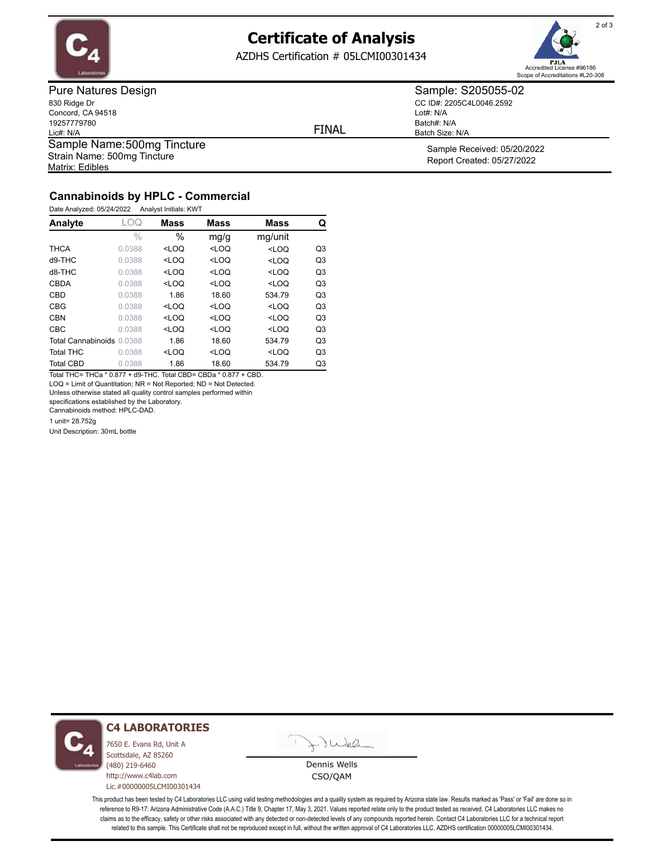

## **Certificate of Analysis**

AZDHS Certification # 05LCMI00301434



Pure Natures Design 830 Ridge Dr Concord, CA 94518 19257779780 Lic#: N/A Matrix: Edibles Sample Name: 500mg Tincture Strain Name: 500mg Tincture

FINAL

Lot#: N/A

Batch#: N/A Batch Size: N/A

Sample: S205055-02 CC ID#: 2205C4L0046.2592

> Sample Received: 05/20/2022 Report Created: 05/27/2022

### **Cannabinoids by HPLC - Commercial**

Date Analyzed: 05/24/2022 Analyst Initials: KWT

| Analyte                   | LOQ           | <b>Mass</b> | <b>Mass</b> | <b>Mass</b> | Q              |
|---------------------------|---------------|-------------|-------------|-------------|----------------|
|                           | $\frac{0}{0}$ | $\%$        | mg/g        | mg/unit     |                |
| <b>THCA</b>               | 0.0388        | $<$ LOQ     | $<$ LOQ     | $<$ LOQ     | Q <sub>3</sub> |
| d9-THC                    | 0.0388        | $<$ LOQ     | $<$ LOQ     | $<$ LOQ     | Q <sub>3</sub> |
| $d8-THC$                  | 0.0388        | $<$ LOQ     | $<$ LOQ     | $<$ LOQ     | Q <sub>3</sub> |
| <b>CBDA</b>               | 0.0388        | $<$ LOQ     | $<$ LOQ     | $<$ LOQ     | Q <sub>3</sub> |
| CBD                       | 0.0388        | 1.86        | 18.60       | 534.79      | Q <sub>3</sub> |
| <b>CBG</b>                | 0.0388        | $<$ LOQ     | $<$ LOQ     | $<$ LOQ     | Q <sub>3</sub> |
| <b>CBN</b>                | 0.0388        | $<$ LOQ     | $<$ LOQ     | $<$ LOQ     | Q <sub>3</sub> |
| <b>CBC</b>                | 0.0388        | $<$ LOQ     | $<$ LOQ     | $<$ LOQ     | Q <sub>3</sub> |
| Total Cannabinoids 0.0388 |               | 1.86        | 18.60       | 534.79      | Q <sub>3</sub> |
| <b>Total THC</b>          | 0.0388        | $<$ LOQ     | $<$ LOQ     | $<$ LOQ     | Q <sub>3</sub> |
| <b>Total CBD</b>          | 0.0388        | 1.86        | 18.60       | 534.79      | Q3             |

Total THC= THCa \* 0.877 + d9-THC. Total CBD= CBDa \* 0.877 + CBD. LOQ = Limit of Quantitation; NR = Not Reported; ND = Not Detected.

Unless otherwise stated all quality control samples performed within

specifications established by the Laboratory.

Cannabinoids method: HPLC-DAD.

1 unit= 28.752g

Unit Description: 30mL bottle



#### **C4 LABORATORIES**

7650 E. Evans Rd, Unit A Scottsdale, AZ 85260 (480) 219-6460 http://www.c4lab.com Lic.#00000005LCMI00301434



Dennis Wells CSO/QAM

This product has been tested by C4 Laboratories LLC using valid testing methodologies and a quality system as required by Arizona state law. Results marked as 'Pass' or 'Fail' are done so in reference to R9-17: Arizona Administrative Code (A.A.C.) Title 9, Chapter 17, May 3, 2021. Values reported relate only to the product tested as received. C4 Laboratories LLC makes no claims as to the efficacy, safety or other risks associated with any detected or non-detected levels of any compounds reported herein. Contact C4 Laboratories LLC for a technical report related to this sample. This Certificate shall not be reproduced except in full, without the written approval of C4 Laboratories LLC. AZDHS certification 00000005LCMI00301434.

2 of 3